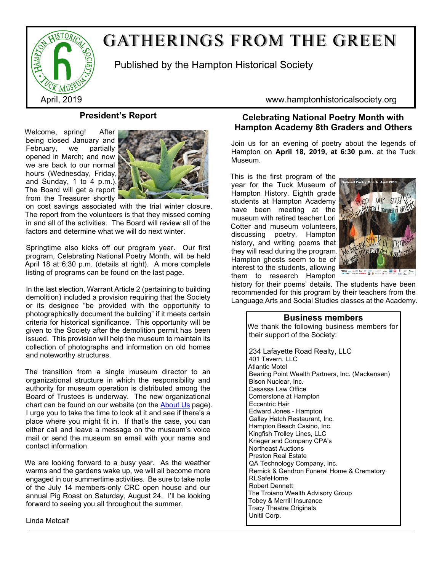

# GATHERINGS FROM THE GREEN

Published by the Hampton Historical Society

# **President's Report**

Welcome, spring! After being closed January and February, we partially opened in March; and now we are back to our normal hours (Wednesday, Friday, and Sunday, 1 to 4 p.m.). The Board will get a report from the Treasurer shortly



on cost savings associated with the trial winter closure. The report from the volunteers is that they missed coming in and all of the activities. The Board will review all of the factors and determine what we will do next winter.

Springtime also kicks off our program year. Our first program, Celebrating National Poetry Month, will be held April 18 at 6:30 p.m. (details at right). A more complete listing of programs can be found on the last page.

In the last election, Warrant Article 2 (pertaining to building demolition) included a provision requiring that the Society or its designee "be provided with the opportunity to photographically document the building" if it meets certain criteria for historical significance. This opportunity will be given to the Society after the demolition permit has been issued. This provision will help the museum to maintain its collection of photographs and information on old homes and noteworthy structures.

The transition from a single museum director to an organizational structure in which the responsibility and authority for museum operation is distributed among the Board of Trustees is underway. The new organizational chart can be found on our website (on the [About Us](http://www.hamptonhistoricalsociety.org/ginfo.htm) page). I urge you to take the time to look at it and see if there's a place where you might fit in. If that's the case, you can either call and leave a message on the museum's voice mail or send the museum an email with your name and contact information.

We are looking forward to a busy year. As the weather warms and the gardens wake up, we will all become more engaged in our summertime activities. Be sure to take note of the July 14 members-only CRC open house and our annual Pig Roast on Saturday, August 24. I'll be looking forward to seeing you all throughout the summer.

Linda Metcalf

April, 2019 www.hamptonhistoricalsociety.org

# **Celebrating National Poetry Month with Hampton Academy 8th Graders and Others**

Join us for an evening of poetry about the legends of Hampton on **April 18, 2019, at 6:30 p.m.** at the Tuck Museum.

This is the first program of the year for the Tuck Museum of Hampton History. Eighth grade students at Hampton Academy have been meeting at the museum with retired teacher Lori Cotter and museum volunteers, discussing poetry, Hampton history, and writing poems that they will read during the program. Hampton ghosts seem to be of interest to the students, allowing them to research Hampton



history for their poems' details. The students have been recommended for this program by their teachers from the Language Arts and Social Studies classes at the Academy.

### **Business members**

We thank the following business members for their support of the Society:

234 Lafayette Road Realty, LLC 401 Tavern, LLC Atlantic Motel Bearing Point Wealth Partners, Inc. (Mackensen) Bison Nuclear, Inc. Casassa Law Office Cornerstone at Hampton Eccentric Hair Edward Jones - Hampton Galley Hatch Restaurant, Inc. Hampton Beach Casino, Inc. Kingfish Trolley Lines, LLC Krieger and Company CPA's Northeast Auctions Preston Real Estate QA Technology Company, Inc. Remick & Gendron Funeral Home & Crematory RI SafeHome Robert Dennett The Troiano Wealth Advisory Group Tobey & Merrill Insurance Tracy Theatre Originals Unitil Corp.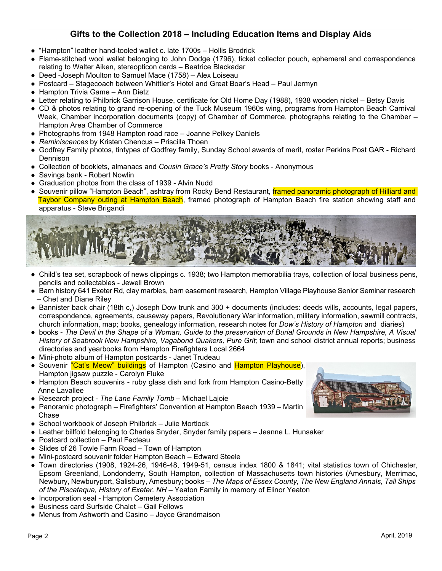# **Gifts to the Collection 2018 – Including Education Items and Display Aids**

- "Hampton" leather hand-tooled wallet c. late 1700s Hollis Brodrick
- Flame-stitched wool wallet belonging to John Dodge (1796), ticket collector pouch, ephemeral and correspondence relating to Walter Aiken, stereopticon cards – Beatrice Blackadar
- Deed -Joseph Moulton to Samuel Mace (1758) Alex Loiseau
- Postcard Stagecoach between Whittier's Hotel and Great Boar's Head Paul Jermyn
- Hampton Trivia Game Ann Dietz
- Letter relating to Philbrick Garrison House, certificate for Old Home Day (1988), 1938 wooden nickel Betsy Davis
- CD & photos relating to grand re-opening of the Tuck Museum 1960s wing, programs from Hampton Beach Carnival Week, Chamber incorporation documents (copy) of Chamber of Commerce, photographs relating to the Chamber – Hampton Area Chamber of Commerce
- Photographs from 1948 Hampton road race Joanne Pelkey Daniels
- *Reminiscences* by Kristen Chencus Priscilla Thoen
- Godfrey Family photos, tintypes of Godfrey family, Sunday School awards of merit, roster Perkins Post GAR Richard Dennison
- Collection of booklets, almanacs and *Cousin Grace's Pretty Story* books Anonymous
- Savings bank Robert Nowlin
- Graduation photos from the class of 1939 Alvin Nudd
- Souvenir pillow "Hampton Beach", ashtray from Rocky Bend Restaurant, framed panoramic photograph of Hilliard and Taybor Company outing at Hampton Beach, framed photograph of Hampton Beach fire station showing staff and apparatus - Steve Brigandi



- Child's tea set, scrapbook of news clippings c. 1938; two Hampton memorabilia trays, collection of local business pens, pencils and collectables - Jewell Brown
- Barn history 641 Exeter Rd, clay marbles, barn easement research, Hampton Village Playhouse Senior Seminar research – Chet and Diane Riley
- Bannister back chair (18th c,) Joseph Dow trunk and 300 + documents (includes: deeds wills, accounts, legal papers, correspondence, agreements, causeway papers, Revolutionary War information, military information, sawmill contracts, church information, map; books, genealogy information, research notes for *Dow's History of Hampton* and diaries)
- books *The Devil in the Shape of a Woman, Guide to the preservation of Burial Grounds in New Hampshire, A Visual History of Seabrook New Hampshire, Vagabond Quakers, Pure Grit;* town and school district annual reports; business directories and yearbooks from Hampton Firefighters Local 2664
- Mini-photo album of Hampton postcards Janet Trudeau
- Souvenir "Cat's Meow" buildings of Hampton (Casino and Hampton Playhouse), Hampton jigsaw puzzle - Carolyn Fluke
- Hampton Beach souvenirs ruby glass dish and fork from Hampton Casino-Betty Anne Lavallee
- Research project *The Lane Family Tomb* Michael Lajoie
- Panoramic photograph Firefighters' Convention at Hampton Beach 1939 Martin Chase
- School workbook of Joseph Philbrick Julie Mortlock
- Leather billfold belonging to Charles Snyder, Snyder family papers Jeanne L. Hunsaker
- Postcard collection Paul Fecteau
- Slides of 26 Towle Farm Road Town of Hampton
- Mini-postcard souvenir folder Hampton Beach Edward Steele
- Town directories (1908, 1924-26, 1946-48, 1949-51, census index 1800 & 1841; vital statistics town of Chichester, Epsom Greenland, Londonderry, South Hampton, collection of Massachusetts town histories (Amesbury, Merrimac, Newbury, Newburyport, Salisbury, Amesbury; books – *The Maps of Essex County, The New England Annals, Tall Ships of the Piscataqua, History of Exeter, NH* – Yeaton Family in memory of Elinor Yeaton
- Incorporation seal Hampton Cemetery Association
- Business card Surfside Chalet Gail Fellows
- Menus from Ashworth and Casino Joyce Grandmaison

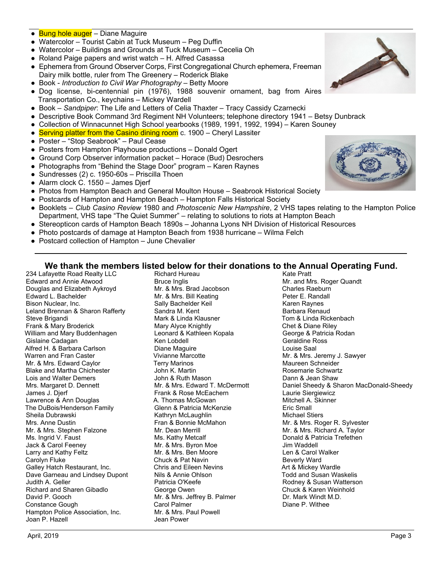#### ● Bung hole auger – Diane Maguire

- Watercolor Tourist Cabin at Tuck Museum Peg Duffin
- Watercolor Buildings and Grounds at Tuck Museum Cecelia Oh
- Roland Paige papers and wrist watch H. Alfred Casassa
- Ephemera from Ground Observer Corps, First Congregational Church ephemera, Freeman Dairy milk bottle, ruler from The Greenery – Roderick Blake
- Book *Introduction to Civil War Photography* Betty Moore
- Dog license, bi-centennial pin (1976), 1988 souvenir ornament, bag from Aires Transportation Co., keychains – Mickey Wardell
- Book *Sandpiper*: The Life and Letters of Celia Thaxter Tracy Cassidy Czarnecki
- Descriptive Book Command 3rd Regiment NH Volunteers; telephone directory 1941 Betsy Dunbrack
- Collection of Winnacunnet High School yearbooks (1989, 1991, 1992, 1994) Karen Souney
- Serving platter from the Casino dining room c. 1900 Cheryl Lassiter
- Poster "Stop Seabrook" Paul Cease
- Posters from Hampton Playhouse productions Donald Ogert
- Ground Corp Observer information packet Horace (Bud) Desrochers
- Photographs from "Behind the Stage Door" program Karen Raynes
- Sundresses (2) c. 1950-60s Priscilla Thoen
- Alarm clock C. 1550 James Djerf
- Photos from Hampton Beach and General Moulton House Seabrook Historical Society
- Postcards of Hampton and Hampton Beach Hampton Falls Historical Society
- Booklets *Club Casino Review* 1980 and *Photoscenic New Hampshire*, 2 VHS tapes relating to the Hampton Police Department, VHS tape "The Quiet Summer" – relating to solutions to riots at Hampton Beach
- Stereopticon cards of Hampton Beach 1890s Johanna Lyons NH Division of Historical Resources
- Photo postcards of damage at Hampton Beach from 1938 hurricane Wilma Felch
- Postcard collection of Hampton June Chevalier

#### Richard Hureau Kate Pratt **We thank the members listed below for their donations to the Annual Operating Fund.**

234 Lafayette Road Realty LLC Edward and Annie Atwood Douglas and Elizabeth Aykroyd Edward L. Bachelder Bison Nuclear, Inc. Leland Brennan & Sharon Rafferty Steve Brigandi Frank & Mary Broderick William and Mary Buddenhagen Gislaine Cadagan Alfred H. & Barbara Carlson Warren and Fran Caster Mr. & Mrs. Edward Caylor Blake and Martha Chichester Lois and Walter Demers Mrs. Margaret D. Dennett James J. Djerf Lawrence & Ann Douglas The DuBois/Henderson Family Sheila Dubrawski Mrs. Anne Dustin Mr. & Mrs. Stephen Falzone Ms. Ingrid V. Faust Jack & Carol Feeney Larry and Kathy Feltz Carolyn Fluke Galley Hatch Restaurant, Inc. Dave Garneau and Lindsey Dupont Judith A. Geller Richard and Sharen Gibadlo David P. Gooch Constance Gough Hampton Police Association, Inc. Joan P. Hazell

Bruce Inglis Mr. & Mrs. Brad Jacobson Mr. & Mrs. Bill Keating Sally Bachelder Keil Sandra M. Kent Mark & Linda Klausner Mary Alyce Knightly Leonard & Kathleen Kopala Ken Lobdell Diane Maguire Vivianne Marcotte Terry Marinos John K. Martin John & Ruth Mason Mr. & Mrs. Edward T. McDermott Frank & Rose McEachern A. Thomas McGowan Glenn & Patricia McKenzie Kathryn McLaughlin Fran & Bonnie McMahon Mr. Dean Merrill Ms. Kathy Metcalf Mr. & Mrs. Byron Moe Mr. & Mrs. Ben Moore Chuck & Pat Navin Chris and Eileen Nevins Nils & Annie Ohlson Patricia O'Keefe George Owen Mr. & Mrs. Jeffrey B. Palmer Carol Palmer Mr. & Mrs. Paul Powell Jean Power

Mr. and Mrs. Roger Quandt Charles Raeburn Peter E. Randall Karen Raynes Barbara Renaud Tom & Linda Rickenbach Chet & Diane Riley George & Patricia Rodan Geraldine Ross Louise Saal Mr. & Mrs. Jeremy J. Sawyer Maureen Schneider Rosemarie Schwartz Dann & Jean Shaw Daniel Sheedy & Sharon MacDonald-Sheedy Laurie Siergiewicz Mitchell A. Skinner Eric Small Michael Stiers Mr. & Mrs. Roger R. Sylvester Mr. & Mrs. Richard A. Taylor Donald & Patricia Trefethen Jim Waddell Len & Carol Walker Beverly Ward Art & Mickey Wardle Todd and Susan Waskelis Rodney & Susan Watterson Chuck & Karen Weinhold Dr. Mark Windt M.D. Diane P. Withee